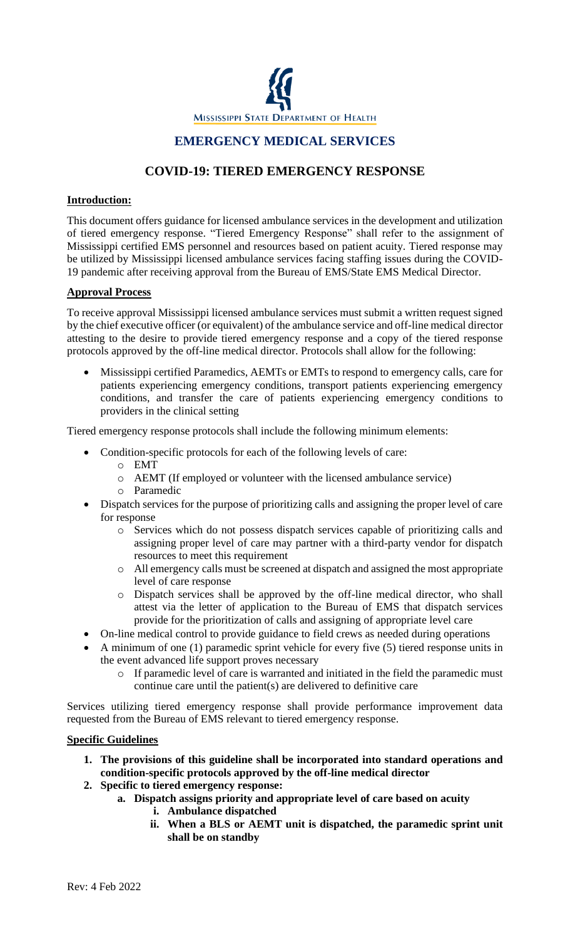

## **EMERGENCY MEDICAL SERVICES**

# **COVID-19: TIERED EMERGENCY RESPONSE**

### **Introduction:**

This document offers guidance for licensed ambulance services in the development and utilization of tiered emergency response. "Tiered Emergency Response" shall refer to the assignment of Mississippi certified EMS personnel and resources based on patient acuity. Tiered response may be utilized by Mississippi licensed ambulance services facing staffing issues during the COVID-19 pandemic after receiving approval from the Bureau of EMS/State EMS Medical Director.

#### **Approval Process**

To receive approval Mississippi licensed ambulance services must submit a written request signed by the chief executive officer (or equivalent) of the ambulance service and off-line medical director attesting to the desire to provide tiered emergency response and a copy of the tiered response protocols approved by the off-line medical director. Protocols shall allow for the following:

• Mississippi certified Paramedics, AEMTs or EMTs to respond to emergency calls, care for patients experiencing emergency conditions, transport patients experiencing emergency conditions, and transfer the care of patients experiencing emergency conditions to providers in the clinical setting

Tiered emergency response protocols shall include the following minimum elements:

- Condition-specific protocols for each of the following levels of care:
	- o EMT
	- o AEMT (If employed or volunteer with the licensed ambulance service)
	- o Paramedic
- Dispatch services for the purpose of prioritizing calls and assigning the proper level of care for response
	- o Services which do not possess dispatch services capable of prioritizing calls and assigning proper level of care may partner with a third-party vendor for dispatch resources to meet this requirement
	- o All emergency calls must be screened at dispatch and assigned the most appropriate level of care response
	- o Dispatch services shall be approved by the off-line medical director, who shall attest via the letter of application to the Bureau of EMS that dispatch services provide for the prioritization of calls and assigning of appropriate level care
- On-line medical control to provide guidance to field crews as needed during operations
- A minimum of one (1) paramedic sprint vehicle for every five (5) tiered response units in the event advanced life support proves necessary
	- o If paramedic level of care is warranted and initiated in the field the paramedic must continue care until the patient(s) are delivered to definitive care

Services utilizing tiered emergency response shall provide performance improvement data requested from the Bureau of EMS relevant to tiered emergency response.

#### **Specific Guidelines**

- **1. The provisions of this guideline shall be incorporated into standard operations and condition-specific protocols approved by the off-line medical director**
- **2. Specific to tiered emergency response:**
	- **a. Dispatch assigns priority and appropriate level of care based on acuity**
		- **i. Ambulance dispatched**
		- **ii. When a BLS or AEMT unit is dispatched, the paramedic sprint unit shall be on standby**